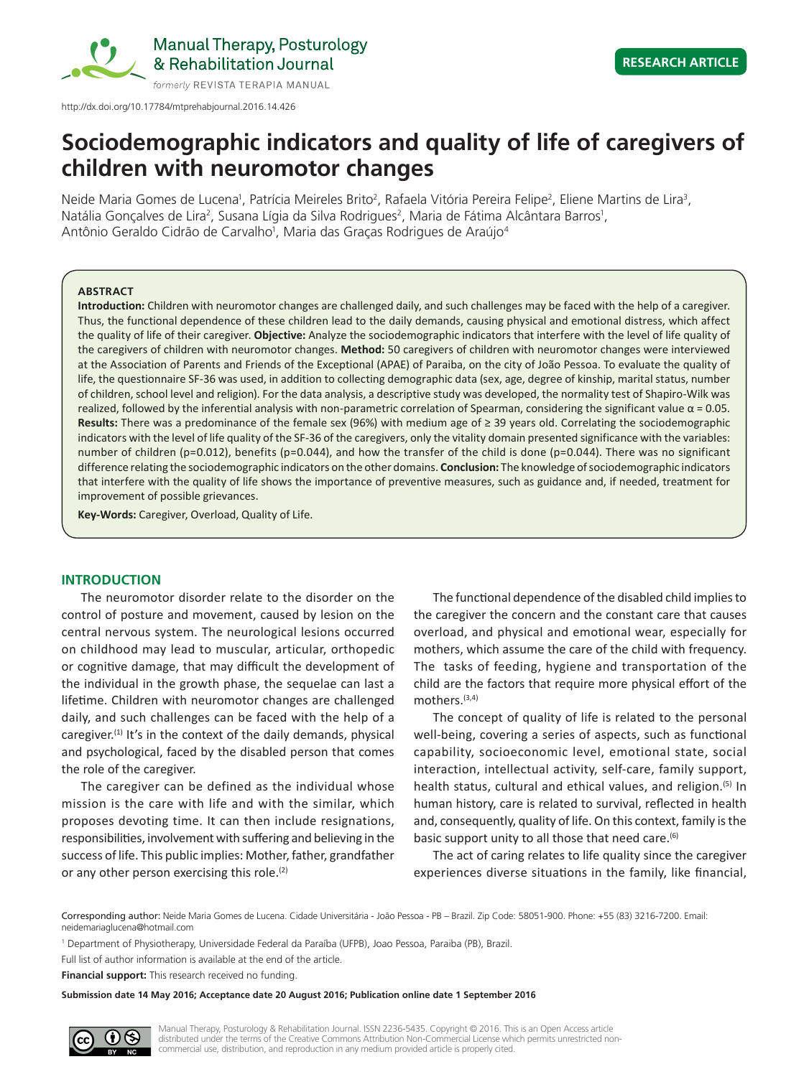

http://dx.doi.org/10.17784/mtprehabjournal.2016.14.426

# **Sociodemographic indicators and quality of life of caregivers of children with neuromotor changes**

Neide Maria Gomes de Lucena<sup>1</sup>, Patrícia Meireles Brito<sup>2</sup>, Rafaela Vitória Pereira Felipe<sup>2</sup>, Eliene Martins de Lira<sup>3</sup>, Natália Gonçalves de Lira<sup>2</sup>, Susana Lígia da Silva Rodrigues<sup>2</sup>, Maria de Fátima Alcântara Barros<sup>1</sup>, Antônio Geraldo Cidrão de Carvalho<sup>1</sup>, Maria das Graças Rodrigues de Araújo<sup>4</sup>

## **ABSTRACT**

**Introduction:** Children with neuromotor changes are challenged daily, and such challenges may be faced with the help of a caregiver. Thus, the functional dependence of these children lead to the daily demands, causing physical and emotional distress, which affect the quality of life of their caregiver. **Objective:** Analyze the sociodemographic indicators that interfere with the level of life quality of the caregivers of children with neuromotor changes. **Method:** 50 caregivers of children with neuromotor changes were interviewed at the Association of Parents and Friends of the Exceptional (APAE) of Paraiba, on the city of João Pessoa. To evaluate the quality of life, the questionnaire SF-36 was used, in addition to collecting demographic data (sex, age, degree of kinship, marital status, number of children, school level and religion). For the data analysis, a descriptive study was developed, the normality test of Shapiro-Wilk was realized, followed by the inferential analysis with non-parametric correlation of Spearman, considering the significant value  $α = 0.05$ . **Results:** There was a predominance of the female sex (96%) with medium age of ≥ 39 years old. Correlating the sociodemographic indicators with the level of life quality of the SF-36 of the caregivers, only the vitality domain presented significance with the variables: number of children (p=0.012), benefits (p=0.044), and how the transfer of the child is done (p=0.044). There was no significant difference relating the sociodemographic indicators on the other domains. **Conclusion:** The knowledge of sociodemographic indicators that interfere with the quality of life shows the importance of preventive measures, such as guidance and, if needed, treatment for improvement of possible grievances.

**Key-Words:** Caregiver, Overload, Quality of Life.

# **INTRODUCTION**

The neuromotor disorder relate to the disorder on the control of posture and movement, caused by lesion on the central nervous system. The neurological lesions occurred on childhood may lead to muscular, articular, orthopedic or cognitive damage, that may difficult the development of the individual in the growth phase, the sequelae can last a lifetime. Children with neuromotor changes are challenged daily, and such challenges can be faced with the help of a caregiver.<sup>(1)</sup> It's in the context of the daily demands, physical and psychological, faced by the disabled person that comes the role of the caregiver.

The caregiver can be defined as the individual whose mission is the care with life and with the similar, which proposes devoting time. It can then include resignations, responsibilities, involvement with suffering and believing in the success of life. This public implies: Mother, father, grandfather or any other person exercising this role. $(2)$ 

The functional dependence of the disabled child implies to the caregiver the concern and the constant care that causes overload, and physical and emotional wear, especially for mothers, which assume the care of the child with frequency. The tasks of feeding, hygiene and transportation of the child are the factors that require more physical effort of the mothers.(3,4)

The concept of quality of life is related to the personal well-being, covering a series of aspects, such as functional capability, socioeconomic level, emotional state, social interaction, intellectual activity, self-care, family support, health status, cultural and ethical values, and religion.<sup>(5)</sup> In human history, care is related to survival, reflected in health and, consequently, quality of life. On this context, family is the basic support unity to all those that need care.<sup>(6)</sup>

The act of caring relates to life quality since the caregiver experiences diverse situations in the family, like financial,

Corresponding author: Neide Maria Gomes de Lucena. Cidade Universitária - João Pessoa - PB – Brazil. Zip Code: 58051-900. Phone: +55 (83) 3216-7200. Email: neidemariaglucena@hotmail.com

1 Department of Physiotherapy, Universidade Federal da Paraíba (UFPB), Joao Pessoa, Paraiba (PB), Brazil.

Full list of author information is available at the end of the article.

**Financial support:** This research received no funding.

**Submission date 14 May 2016; Acceptance date 20 August 2016; Publication online date 1 September 2016**

Manual Therapy, Posturology & Rehabilitation Journal. ISSN 2236-5435. Copyright © 2016. This is an Open Access article distributed under the terms of the Creative Commons Attribution Non-Commercial License which permits unrestricted noncommercial use, distribution, and reproduction in any medium provided article is properly cited.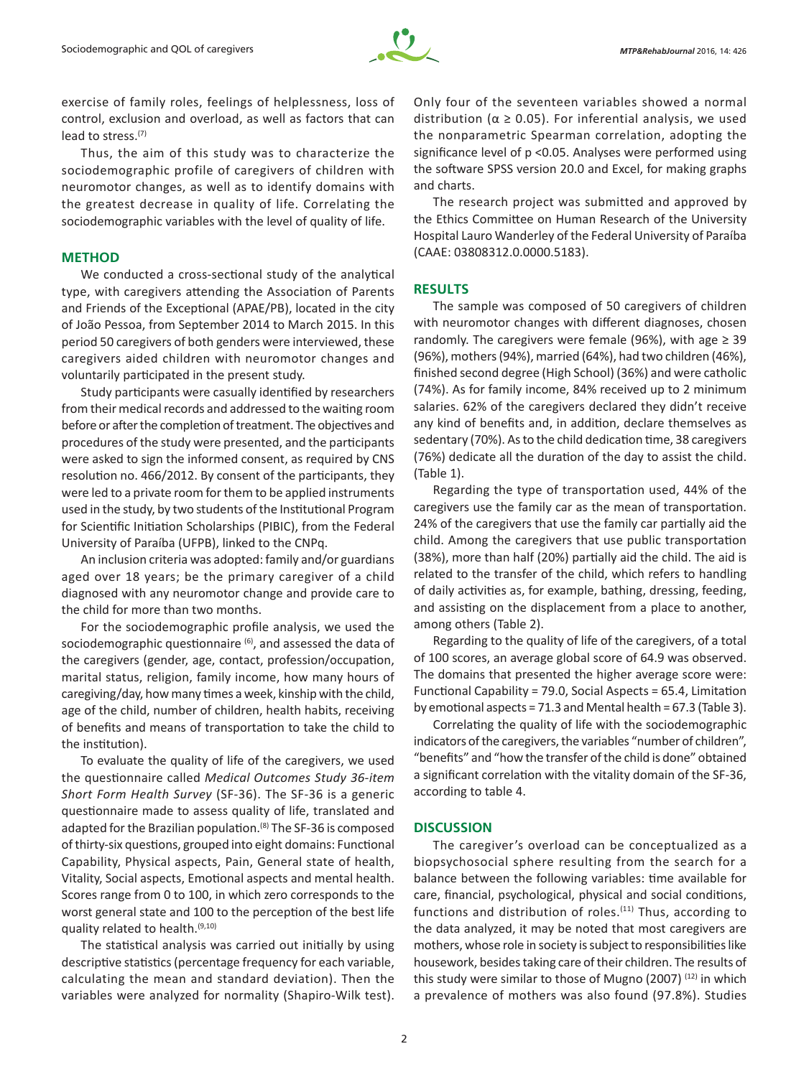

exercise of family roles, feelings of helplessness, loss of control, exclusion and overload, as well as factors that can lead to stress.(7)

Thus, the aim of this study was to characterize the sociodemographic profile of caregivers of children with neuromotor changes, as well as to identify domains with the greatest decrease in quality of life. Correlating the sociodemographic variables with the level of quality of life.

## **METHOD**

We conducted a cross-sectional study of the analytical type, with caregivers attending the Association of Parents and Friends of the Exceptional (APAE/PB), located in the city of João Pessoa, from September 2014 to March 2015. In this period 50 caregivers of both genders were interviewed, these caregivers aided children with neuromotor changes and voluntarily participated in the present study.

Study participants were casually identified by researchers from their medical records and addressed to the waiting room before or after the completion of treatment. The objectives and procedures of the study were presented, and the participants were asked to sign the informed consent, as required by CNS resolution no. 466/2012. By consent of the participants, they were led to a private room for them to be applied instruments used in the study, by two students of the Institutional Program for Scientific Initiation Scholarships (PIBIC), from the Federal University of Paraíba (UFPB), linked to the CNPq.

An inclusion criteria was adopted: family and/or guardians aged over 18 years; be the primary caregiver of a child diagnosed with any neuromotor change and provide care to the child for more than two months.

For the sociodemographic profile analysis, we used the sociodemographic questionnaire (6), and assessed the data of the caregivers (gender, age, contact, profession/occupation, marital status, religion, family income, how many hours of caregiving/day, how many times a week, kinship with the child, age of the child, number of children, health habits, receiving of benefits and means of transportation to take the child to the institution).

To evaluate the quality of life of the caregivers, we used the questionnaire called *Medical Outcomes Study 36-item Short Form Health Survey* (SF-36). The SF-36 is a generic questionnaire made to assess quality of life, translated and adapted for the Brazilian population.<sup>(8)</sup> The SF-36 is composed of thirty-six questions, grouped into eight domains: Functional Capability, Physical aspects, Pain, General state of health, Vitality, Social aspects, Emotional aspects and mental health. Scores range from 0 to 100, in which zero corresponds to the worst general state and 100 to the perception of the best life quality related to health.(9,10)

The statistical analysis was carried out initially by using descriptive statistics (percentage frequency for each variable, calculating the mean and standard deviation). Then the variables were analyzed for normality (Shapiro-Wilk test).

Only four of the seventeen variables showed a normal distribution ( $\alpha \geq 0.05$ ). For inferential analysis, we used the nonparametric Spearman correlation, adopting the significance level of p <0.05. Analyses were performed using the software SPSS version 20.0 and Excel, for making graphs and charts.

The research project was submitted and approved by the Ethics Committee on Human Research of the University Hospital Lauro Wanderley of the Federal University of Paraíba (CAAE: 03808312.0.0000.5183).

## **RESULTS**

The sample was composed of 50 caregivers of children with neuromotor changes with different diagnoses, chosen randomly. The caregivers were female (96%), with age  $\geq 39$ (96%), mothers (94%), married (64%), had two children (46%), finished second degree (High School) (36%) and were catholic (74%). As for family income, 84% received up to 2 minimum salaries. 62% of the caregivers declared they didn't receive any kind of benefits and, in addition, declare themselves as sedentary (70%). As to the child dedication time, 38 caregivers (76%) dedicate all the duration of the day to assist the child. (Table 1).

Regarding the type of transportation used, 44% of the caregivers use the family car as the mean of transportation. 24% of the caregivers that use the family car partially aid the child. Among the caregivers that use public transportation (38%), more than half (20%) partially aid the child. The aid is related to the transfer of the child, which refers to handling of daily activities as, for example, bathing, dressing, feeding, and assisting on the displacement from a place to another, among others (Table 2).

Regarding to the quality of life of the caregivers, of a total of 100 scores, an average global score of 64.9 was observed. The domains that presented the higher average score were: Functional Capability = 79.0, Social Aspects = 65.4, Limitation by emotional aspects = 71.3 and Mental health = 67.3 (Table 3).

Correlating the quality of life with the sociodemographic indicators of the caregivers, the variables "number of children", "benefits" and "how the transfer of the child is done" obtained a significant correlation with the vitality domain of the SF-36, according to table 4.

## **DISCUSSION**

The caregiver's overload can be conceptualized as a biopsychosocial sphere resulting from the search for a balance between the following variables: time available for care, financial, psychological, physical and social conditions, functions and distribution of roles.<sup>(11)</sup> Thus, according to the data analyzed, it may be noted that most caregivers are mothers, whose role in society is subject to responsibilities like housework, besides taking care of their children. The results of this study were similar to those of Mugno (2007)<sup>(12)</sup> in which a prevalence of mothers was also found (97.8%). Studies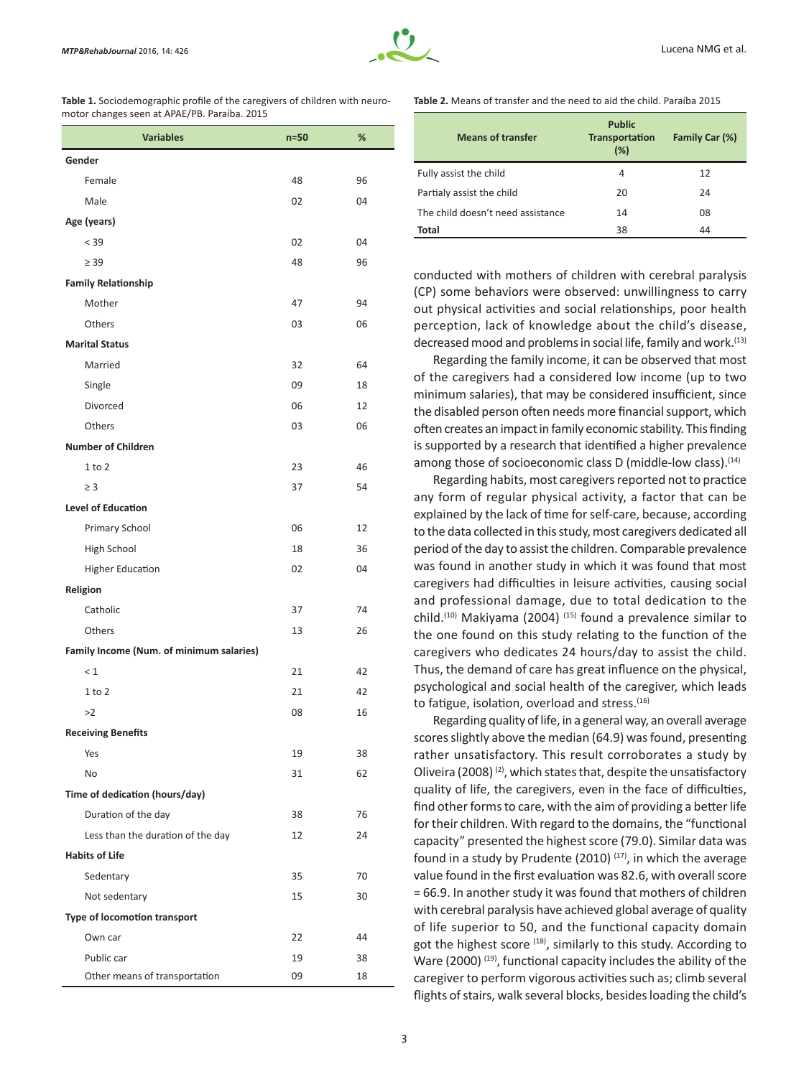

| <b>Table 1.</b> Sociodemographic profile of the caregivers of children with neuro- |
|------------------------------------------------------------------------------------|
| motor changes seen at APAE/PB. Paraíba. 2015                                       |

| <b>Variables</b>                         | $n=50$ | %  |  |  |  |  |
|------------------------------------------|--------|----|--|--|--|--|
| Gender                                   |        |    |  |  |  |  |
| Female                                   | 48     | 96 |  |  |  |  |
| Male                                     | 02     | 04 |  |  |  |  |
| Age (years)                              |        |    |  |  |  |  |
| < 39                                     | 02     | 04 |  |  |  |  |
| $\geq$ 39                                | 48     | 96 |  |  |  |  |
| <b>Family Relationship</b>               |        |    |  |  |  |  |
| Mother                                   | 47     | 94 |  |  |  |  |
| Others                                   | 03     | 06 |  |  |  |  |
| <b>Marital Status</b>                    |        |    |  |  |  |  |
| Married                                  | 32     | 64 |  |  |  |  |
| Single                                   | 09     | 18 |  |  |  |  |
| Divorced                                 | 06     | 12 |  |  |  |  |
| Others                                   | 03     | 06 |  |  |  |  |
| <b>Number of Children</b>                |        |    |  |  |  |  |
| $1$ to $2$                               | 23     | 46 |  |  |  |  |
| $\geq$ 3                                 | 37     | 54 |  |  |  |  |
| <b>Level of Education</b>                |        |    |  |  |  |  |
| Primary School                           | 06     | 12 |  |  |  |  |
| High School                              | 18     | 36 |  |  |  |  |
| <b>Higher Education</b>                  | 02     | 04 |  |  |  |  |
| Religion                                 |        |    |  |  |  |  |
| Catholic                                 | 37     | 74 |  |  |  |  |
| Others                                   | 13     | 26 |  |  |  |  |
| Family Income (Num. of minimum salaries) |        |    |  |  |  |  |
| $\leq 1$                                 | 21     | 42 |  |  |  |  |
| $1$ to $2$                               | 21     | 42 |  |  |  |  |
| >2                                       | 08     | 16 |  |  |  |  |
| <b>Receiving Benefits</b>                |        |    |  |  |  |  |
| Yes                                      | 19     | 38 |  |  |  |  |
| No                                       | 31     | 62 |  |  |  |  |
| Time of dedication (hours/day)           |        |    |  |  |  |  |
| Duration of the day                      | 38     | 76 |  |  |  |  |
| Less than the duration of the day        | 12     | 24 |  |  |  |  |
| <b>Habits of Life</b>                    |        |    |  |  |  |  |
| Sedentary                                | 35     | 70 |  |  |  |  |
| Not sedentary                            | 15     | 30 |  |  |  |  |
| <b>Type of locomotion transport</b>      |        |    |  |  |  |  |
| Own car                                  | 22     | 44 |  |  |  |  |
| Public car                               | 19     | 38 |  |  |  |  |
| Other means of transportation            | 09     | 18 |  |  |  |  |

## **Table 2.** Means of transfer and the need to aid the child. Paraíba 2015

| <b>Means of transfer</b>          | <b>Public</b><br><b>Transportation</b><br>(%) | Family Car (%) |
|-----------------------------------|-----------------------------------------------|----------------|
| Fully assist the child            | 4                                             | 12             |
| Partialy assist the child         | 20                                            | 24             |
| The child doesn't need assistance | 14                                            | 08             |
| <b>Total</b>                      | 38                                            | 44             |

conducted with mothers of children with cerebral paralysis (CP) some behaviors were observed: unwillingness to carry out physical activities and social relationships, poor health perception, lack of knowledge about the child's disease, decreased mood and problems in social life, family and work.<sup>(13)</sup>

Regarding the family income, it can be observed that most of the caregivers had a considered low income (up to two minimum salaries), that may be considered insufficient, since the disabled person often needs more financial support, which often creates an impact in family economic stability. This finding is supported by a research that identified a higher prevalence among those of socioeconomic class D (middle-low class).<sup>(14)</sup>

Regarding habits, most caregivers reported not to practice any form of regular physical activity, a factor that can be explained by the lack of time for self-care, because, according to the data collected in this study, most caregivers dedicated all period of the day to assist the children. Comparable prevalence was found in another study in which it was found that most caregivers had difficulties in leisure activities, causing social and professional damage, due to total dedication to the child.<sup>(10)</sup> Makiyama (2004)<sup>(15)</sup> found a prevalence similar to the one found on this study relating to the function of the caregivers who dedicates 24 hours/day to assist the child. Thus, the demand of care has great influence on the physical, psychological and social health of the caregiver, which leads to fatigue, isolation, overload and stress.<sup>(16)</sup>

Regarding quality of life, in a general way, an overall average scores slightly above the median (64.9) was found, presenting rather unsatisfactory. This result corroborates a study by Oliveira (2008)<sup>(2)</sup>, which states that, despite the unsatisfactory quality of life, the caregivers, even in the face of difficulties, find other forms to care, with the aim of providing a better life for their children. With regard to the domains, the "functional capacity" presented the highest score (79.0). Similar data was found in a study by Prudente (2010)  $(17)$ , in which the average value found in the first evaluation was 82.6, with overall score = 66.9. In another study it was found that mothers of children with cerebral paralysis have achieved global average of quality of life superior to 50, and the functional capacity domain got the highest score (18), similarly to this study. According to Ware (2000)<sup>(19)</sup>, functional capacity includes the ability of the caregiver to perform vigorous activities such as; climb several flights of stairs, walk several blocks, besides loading the child's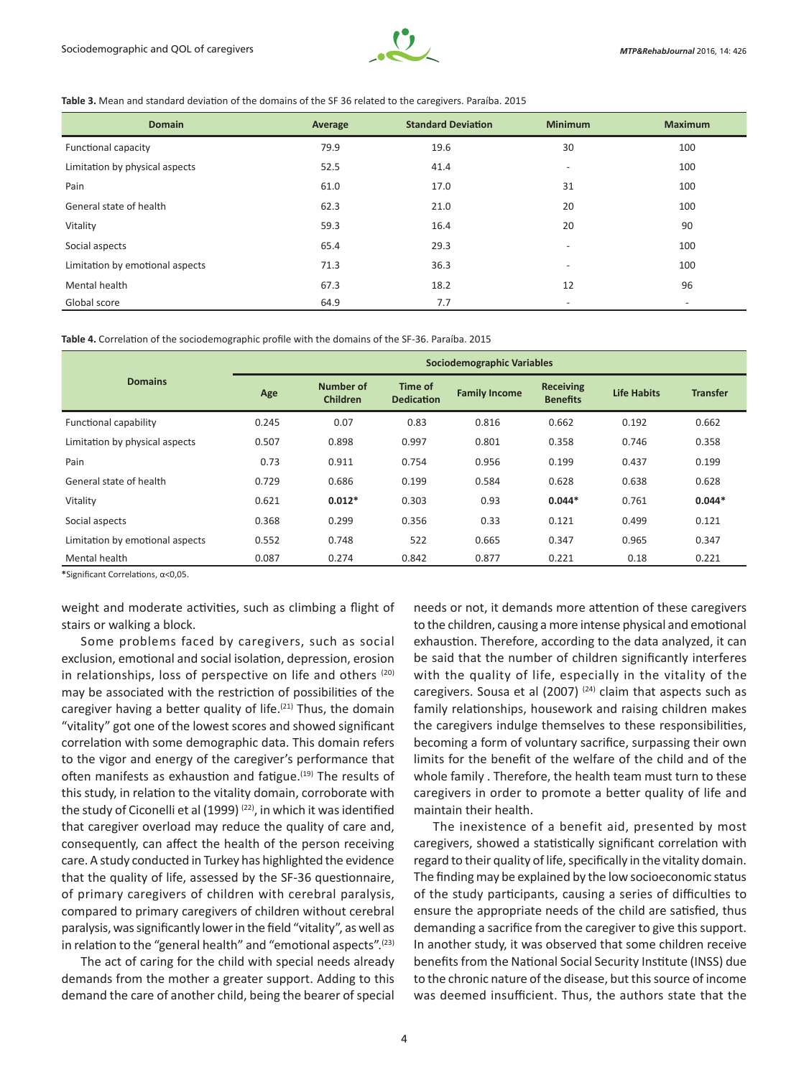

#### **Table 3.** Mean and standard deviation of the domains of the SF 36 related to the caregivers. Paraíba. 2015

| <b>Domain</b>                   | Average | <b>Standard Deviation</b> | <b>Minimum</b>           | <b>Maximum</b>           |
|---------------------------------|---------|---------------------------|--------------------------|--------------------------|
| <b>Functional capacity</b>      | 79.9    | 19.6                      | 30                       | 100                      |
| Limitation by physical aspects  | 52.5    | 41.4                      | $\overline{\phantom{a}}$ | 100                      |
| Pain                            | 61.0    | 17.0                      | 31                       | 100                      |
| General state of health         | 62.3    | 21.0                      | 20                       | 100                      |
| Vitality                        | 59.3    | 16.4                      | 20                       | 90                       |
| Social aspects                  | 65.4    | 29.3                      | ٠                        | 100                      |
| Limitation by emotional aspects | 71.3    | 36.3                      | $\overline{\phantom{0}}$ | 100                      |
| Mental health                   | 67.3    | 18.2                      | 12                       | 96                       |
| Global score                    | 64.9    | 7.7                       | $\overline{\phantom{a}}$ | $\overline{\phantom{a}}$ |

**Table 4.** Correlation of the sociodemographic profile with the domains of the SF-36. Paraíba. 2015

|                                 | <b>Sociodemographic Variables</b> |                                     |                              |                      |                                     |                    |                 |
|---------------------------------|-----------------------------------|-------------------------------------|------------------------------|----------------------|-------------------------------------|--------------------|-----------------|
| <b>Domains</b>                  | Age                               | <b>Number of</b><br><b>Children</b> | Time of<br><b>Dedication</b> | <b>Family Income</b> | <b>Receiving</b><br><b>Benefits</b> | <b>Life Habits</b> | <b>Transfer</b> |
| Functional capability           | 0.245                             | 0.07                                | 0.83                         | 0.816                | 0.662                               | 0.192              | 0.662           |
| Limitation by physical aspects  | 0.507                             | 0.898                               | 0.997                        | 0.801                | 0.358                               | 0.746              | 0.358           |
| Pain                            | 0.73                              | 0.911                               | 0.754                        | 0.956                | 0.199                               | 0.437              | 0.199           |
| General state of health         | 0.729                             | 0.686                               | 0.199                        | 0.584                | 0.628                               | 0.638              | 0.628           |
| Vitality                        | 0.621                             | $0.012*$                            | 0.303                        | 0.93                 | $0.044*$                            | 0.761              | $0.044*$        |
| Social aspects                  | 0.368                             | 0.299                               | 0.356                        | 0.33                 | 0.121                               | 0.499              | 0.121           |
| Limitation by emotional aspects | 0.552                             | 0.748                               | 522                          | 0.665                | 0.347                               | 0.965              | 0.347           |
| Mental health                   | 0.087                             | 0.274                               | 0.842                        | 0.877                | 0.221                               | 0.18               | 0.221           |

**\***Significant Correlations, α<0,05.

weight and moderate activities, such as climbing a flight of stairs or walking a block.

Some problems faced by caregivers, such as social exclusion, emotional and social isolation, depression, erosion in relationships, loss of perspective on life and others (20) may be associated with the restriction of possibilities of the caregiver having a better quality of life. $(21)$  Thus, the domain "vitality" got one of the lowest scores and showed significant correlation with some demographic data. This domain refers to the vigor and energy of the caregiver's performance that often manifests as exhaustion and fatigue.<sup>(19)</sup> The results of this study, in relation to the vitality domain, corroborate with the study of Ciconelli et al (1999)<sup>(22)</sup>, in which it was identified that caregiver overload may reduce the quality of care and, consequently, can affect the health of the person receiving care. A study conducted in Turkey has highlighted the evidence that the quality of life, assessed by the SF-36 questionnaire, of primary caregivers of children with cerebral paralysis, compared to primary caregivers of children without cerebral paralysis, was significantly lower in the field "vitality", as well as in relation to the "general health" and "emotional aspects".<sup>(23)</sup>

The act of caring for the child with special needs already demands from the mother a greater support. Adding to this demand the care of another child, being the bearer of special

needs or not, it demands more attention of these caregivers to the children, causing a more intense physical and emotional exhaustion. Therefore, according to the data analyzed, it can be said that the number of children significantly interferes with the quality of life, especially in the vitality of the caregivers. Sousa et al (2007)  $(24)$  claim that aspects such as family relationships, housework and raising children makes the caregivers indulge themselves to these responsibilities, becoming a form of voluntary sacrifice, surpassing their own limits for the benefit of the welfare of the child and of the whole family . Therefore, the health team must turn to these caregivers in order to promote a better quality of life and maintain their health.

The inexistence of a benefit aid, presented by most caregivers, showed a statistically significant correlation with regard to their quality of life, specifically in the vitality domain. The finding may be explained by the low socioeconomic status of the study participants, causing a series of difficulties to ensure the appropriate needs of the child are satisfied, thus demanding a sacrifice from the caregiver to give this support. In another study, it was observed that some children receive benefits from the National Social Security Institute (INSS) due to the chronic nature of the disease, but this source of income was deemed insufficient. Thus, the authors state that the